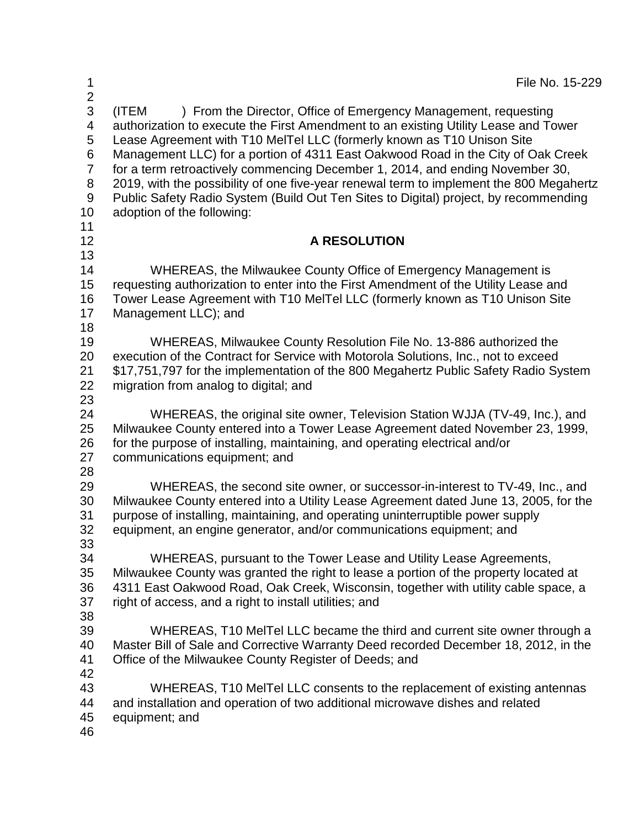| 1<br>$\overline{2}$                                          |                                                                                                                                                                                                                                                                                                                                                                                                                                                                                                                                                                                                                                 | File No. 15-229 |
|--------------------------------------------------------------|---------------------------------------------------------------------------------------------------------------------------------------------------------------------------------------------------------------------------------------------------------------------------------------------------------------------------------------------------------------------------------------------------------------------------------------------------------------------------------------------------------------------------------------------------------------------------------------------------------------------------------|-----------------|
| 3<br>4<br>5<br>6<br>$\overline{7}$<br>8<br>$9\,$<br>10<br>11 | ) From the Director, Office of Emergency Management, requesting<br>(ITEM<br>authorization to execute the First Amendment to an existing Utility Lease and Tower<br>Lease Agreement with T10 MeITel LLC (formerly known as T10 Unison Site<br>Management LLC) for a portion of 4311 East Oakwood Road in the City of Oak Creek<br>for a term retroactively commencing December 1, 2014, and ending November 30,<br>2019, with the possibility of one five-year renewal term to implement the 800 Megahertz<br>Public Safety Radio System (Build Out Ten Sites to Digital) project, by recommending<br>adoption of the following: |                 |
| 12                                                           | <b>A RESOLUTION</b>                                                                                                                                                                                                                                                                                                                                                                                                                                                                                                                                                                                                             |                 |
| 13                                                           |                                                                                                                                                                                                                                                                                                                                                                                                                                                                                                                                                                                                                                 |                 |
| 14<br>15<br>16<br>17<br>18                                   | WHEREAS, the Milwaukee County Office of Emergency Management is<br>requesting authorization to enter into the First Amendment of the Utility Lease and<br>Tower Lease Agreement with T10 MeITel LLC (formerly known as T10 Unison Site<br>Management LLC); and                                                                                                                                                                                                                                                                                                                                                                  |                 |
| 19<br>20<br>21<br>22<br>23                                   | WHEREAS, Milwaukee County Resolution File No. 13-886 authorized the<br>execution of the Contract for Service with Motorola Solutions, Inc., not to exceed<br>\$17,751,797 for the implementation of the 800 Megahertz Public Safety Radio System<br>migration from analog to digital; and                                                                                                                                                                                                                                                                                                                                       |                 |
| 24<br>25<br>26<br>27<br>28                                   | WHEREAS, the original site owner, Television Station WJJA (TV-49, Inc.), and<br>Milwaukee County entered into a Tower Lease Agreement dated November 23, 1999,<br>for the purpose of installing, maintaining, and operating electrical and/or<br>communications equipment; and                                                                                                                                                                                                                                                                                                                                                  |                 |
| 29<br>30<br>31<br>32<br>33                                   | WHEREAS, the second site owner, or successor-in-interest to TV-49, Inc., and<br>Milwaukee County entered into a Utility Lease Agreement dated June 13, 2005, for the<br>purpose of installing, maintaining, and operating uninterruptible power supply<br>equipment, an engine generator, and/or communications equipment; and                                                                                                                                                                                                                                                                                                  |                 |
| 34<br>35<br>36<br>37<br>38                                   | WHEREAS, pursuant to the Tower Lease and Utility Lease Agreements,<br>Milwaukee County was granted the right to lease a portion of the property located at<br>4311 East Oakwood Road, Oak Creek, Wisconsin, together with utility cable space, a<br>right of access, and a right to install utilities; and                                                                                                                                                                                                                                                                                                                      |                 |
| 39<br>40<br>41<br>42                                         | WHEREAS, T10 MeITeI LLC became the third and current site owner through a<br>Master Bill of Sale and Corrective Warranty Deed recorded December 18, 2012, in the<br>Office of the Milwaukee County Register of Deeds; and                                                                                                                                                                                                                                                                                                                                                                                                       |                 |
| 43<br>44<br>45<br>46                                         | WHEREAS, T10 MeITel LLC consents to the replacement of existing antennas<br>and installation and operation of two additional microwave dishes and related<br>equipment; and                                                                                                                                                                                                                                                                                                                                                                                                                                                     |                 |